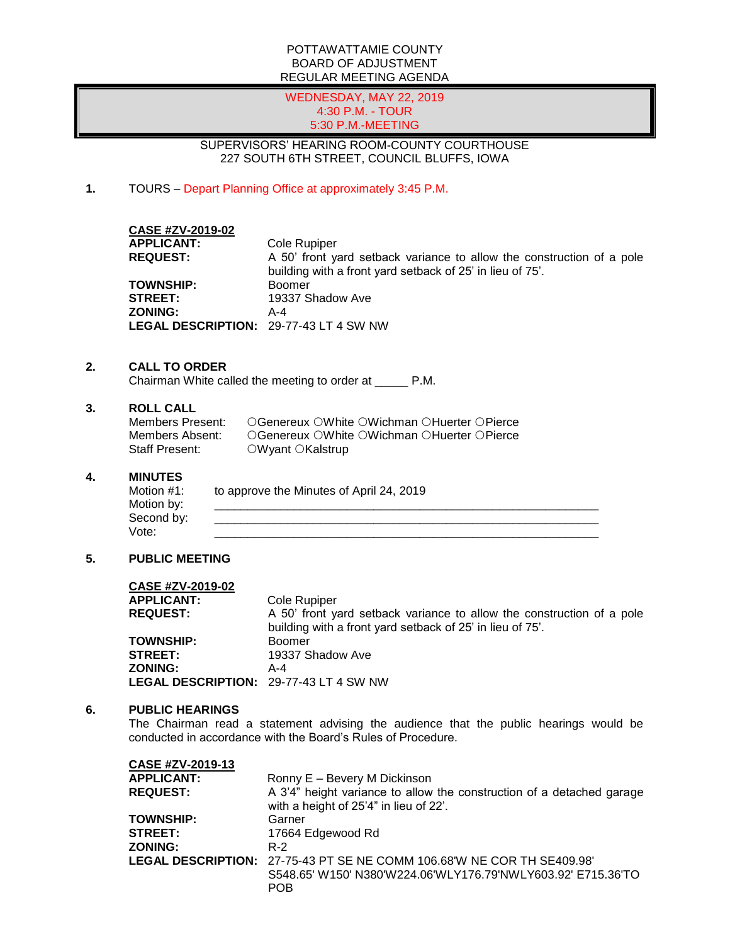### POTTAWATTAMIE COUNTY BOARD OF ADJUSTMENT REGULAR MEETING AGENDA

### WEDNESDAY, MAY 22, 2019 4:30 P.M. - TOUR 5:30 P.M.-MEETING

## SUPERVISORS' HEARING ROOM-COUNTY COURTHOUSE 227 SOUTH 6TH STREET, COUNCIL BLUFFS, IOWA

**1.** TOURS – Depart Planning Office at approximately 3:45 P.M.

## **CASE #ZV-2019-02**

**APPLICANT:** Cole Rupiper **REQUEST:** A 50' front yard setback variance to allow the construction of a pole building with a front yard setback of 25' in lieu of 75'. **TOWNSHIP:** Boomer **STREET:** 19337 Shadow Ave **ZONING:** A-4 **LEGAL DESCRIPTION:** 29-77-43 LT 4 SW NW

## **2. CALL TO ORDER**

Chairman White called the meeting to order at \_\_\_\_\_ P.M.

## **3. ROLL CALL**

| Members Present: | ○Genereux ○White ○Wichman ○Huerter ○Pierce |
|------------------|--------------------------------------------|
| Members Absent:  | ○Genereux ○White ○Wichman ○Huerter ○Pierce |
| Staff Present:   | $\circ$ Wyant $\circ$ Kalstrup             |

#### **4. MINUTES**

| Motion #1: | to approve the Minutes of April 24, 2019 |
|------------|------------------------------------------|
| Motion by: |                                          |
| Second by: |                                          |
| Vote:      |                                          |

## **5. PUBLIC MEETING**

| CASE #ZV-2019-02                       |                                                                       |
|----------------------------------------|-----------------------------------------------------------------------|
| <b>APPLICANT:</b>                      | Cole Rupiper                                                          |
| <b>REQUEST:</b>                        | A 50' front yard setback variance to allow the construction of a pole |
|                                        | building with a front yard setback of 25' in lieu of 75'.             |
| <b>TOWNSHIP:</b>                       | <b>Boomer</b>                                                         |
| <b>STREET:</b>                         | 19337 Shadow Ave                                                      |
| <b>ZONING:</b>                         | A-4                                                                   |
| LEGAL DESCRIPTION: 29-77-43 LT 4 SW NW |                                                                       |

#### **6. PUBLIC HEARINGS**

**CASE #ZV-2019-13**

The Chairman read a statement advising the audience that the public hearings would be conducted in accordance with the Board's Rules of Procedure.

| <b>CASE #ZV-2019-13</b> |                                                                                                                 |
|-------------------------|-----------------------------------------------------------------------------------------------------------------|
| <b>APPLICANT:</b>       | Ronny E - Bevery M Dickinson                                                                                    |
| <b>REQUEST:</b>         | A 3'4" height variance to allow the construction of a detached garage<br>with a height of 25'4" in lieu of 22'. |
| <b>TOWNSHIP:</b>        | Garner                                                                                                          |
| <b>STREET:</b>          | 17664 Edgewood Rd                                                                                               |
| <b>ZONING:</b>          | R-2                                                                                                             |
|                         | LEGAL DESCRIPTION: 27-75-43 PT SE NE COMM 106.68'W NE COR TH SE409.98'                                          |
|                         | S548.65' W150' N380'W224.06'WLY176.79'NWLY603.92' E715.36'TO<br><b>POB</b>                                      |
|                         |                                                                                                                 |